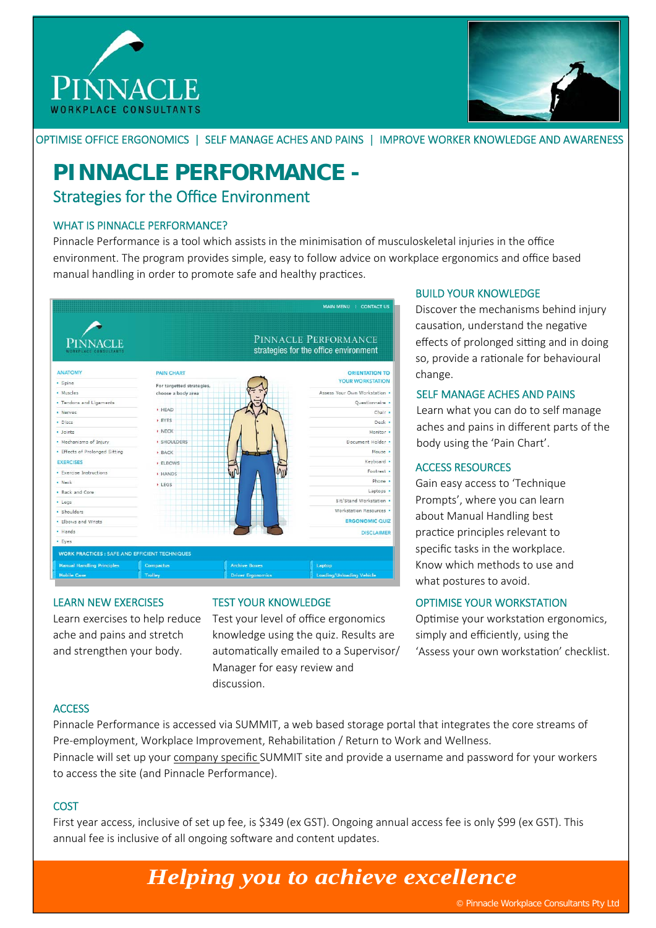



OPTIMISE OFFICE ERGONOMICS | SELF MANAGE ACHES AND PAINS | IMPROVE WORKER KNOWLEDGE AND AWARENESS

### **PINNACLE PERFORMANCE -**  Strategies for the Office Environment

### WHAT IS PINNACLE PERFORMANCE?

Pinnacle Performance is a tool which assists in the minimisation of musculoskeletal injuries in the office environment. The program provides simple, easy to follow advice on workplace ergonomics and office based manual handling in order to promote safe and healthy practices.



#### LEARN NEW EXERCISES

Learn exercises to help reduce ache and pains and stretch and strengthen your body.

### TEST YOUR KNOWLEDGE

Test your level of office ergonomics knowledge using the quiz. Results are automatically emailed to a Supervisor/ Manager for easy review and discussion.

### BUILD YOUR KNOWLEDGE

Discover the mechanisms behind injury causation, understand the negative effects of prolonged sitting and in doing so, provide a rationale for behavioural change.

#### SELF MANAGE ACHES AND PAINS

Learn what you can do to self manage aches and pains in different parts of the body using the 'Pain Chart'.

#### ACCESS RESOURCES

Gain easy access to 'Technique Prompts', where you can learn about Manual Handling best practice principles relevant to specific tasks in the workplace. Know which methods to use and what postures to avoid.

### OPTIMISE YOUR WORKSTATION

Optimise your workstation ergonomics, simply and efficiently, using the 'Assess your own workstation' checklist.

### **ACCESS**

Pinnacle Performance is accessed via SUMMIT, a web based storage portal that integrates the core streams of Pre-employment, Workplace Improvement, Rehabilitation / Return to Work and Wellness.

Pinnacle will set up your company specific SUMMIT site and provide a username and password for your workers to access the site (and Pinnacle Performance).

### **COST**

First year access, inclusive of set up fee, is \$349 (ex GST). Ongoing annual access fee is only \$99 (ex GST). This annual fee is inclusive of all ongoing software and content updates.

# *Helping you to achieve excellence*